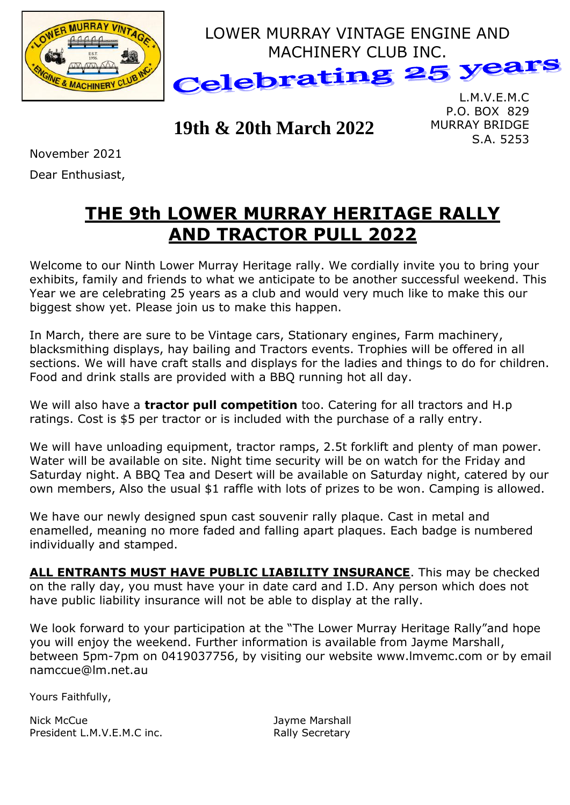

## **19th & 20th March 2022**

P.O. BOX 829 MURRAY BRIDGE S.A. 5253

November 2021

Dear Enthusiast,

# **THE 9th LOWER MURRAY HERITAGE RALLY AND TRACTOR PULL 2022**

Welcome to our Ninth Lower Murray Heritage rally. We cordially invite you to bring your exhibits, family and friends to what we anticipate to be another successful weekend. This Year we are celebrating 25 years as a club and would very much like to make this our biggest show yet. Please join us to make this happen.

In March, there are sure to be Vintage cars, Stationary engines, Farm machinery, blacksmithing displays, hay bailing and Tractors events. Trophies will be offered in all sections. We will have craft stalls and displays for the ladies and things to do for children. Food and drink stalls are provided with a BBQ running hot all day.

We will also have a **tractor pull competition** too. Catering for all tractors and H.p ratings. Cost is \$5 per tractor or is included with the purchase of a rally entry.

We will have unloading equipment, tractor ramps, 2.5t forklift and plenty of man power. Water will be available on site. Night time security will be on watch for the Friday and Saturday night. A BBQ Tea and Desert will be available on Saturday night, catered by our own members, Also the usual \$1 raffle with lots of prizes to be won. Camping is allowed.

We have our newly designed spun cast souvenir rally plaque. Cast in metal and enamelled, meaning no more faded and falling apart plaques. Each badge is numbered individually and stamped.

**ALL ENTRANTS MUST HAVE PUBLIC LIABILITY INSURANCE**. This may be checked on the rally day, you must have your in date card and I.D. Any person which does not have public liability insurance will not be able to display at the rally.

We look forward to your participation at the "The Lower Murray Heritage Rally"and hope you will enjoy the weekend. Further information is available from Jayme Marshall, between 5pm-7pm on 0419037756, by visiting our website www.lmvemc.com or by email namccue@lm.net.au

Yours Faithfully,

Nick McCue **Jayme Marshall** President L.M.V.E.M.C inc. The resident L.M.V.E.M.C inc.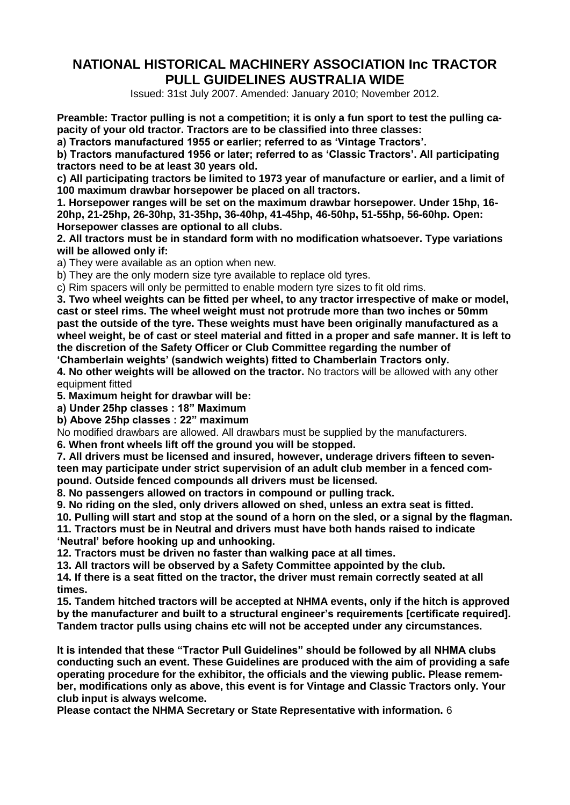### **NATIONAL HISTORICAL MACHINERY ASSOCIATION Inc TRACTOR PULL GUIDELINES AUSTRALIA WIDE**

Issued: 31st July 2007. Amended: January 2010; November 2012.

**Preamble: Tractor pulling is not a competition; it is only a fun sport to test the pulling capacity of your old tractor. Tractors are to be classified into three classes:** 

**a) Tractors manufactured 1955 or earlier; referred to as 'Vintage Tractors'.** 

**b) Tractors manufactured 1956 or later; referred to as 'Classic Tractors'. All participating tractors need to be at least 30 years old.** 

**c) All participating tractors be limited to 1973 year of manufacture or earlier, and a limit of 100 maximum drawbar horsepower be placed on all tractors.** 

**1. Horsepower ranges will be set on the maximum drawbar horsepower. Under 15hp, 16- 20hp, 21-25hp, 26-30hp, 31-35hp, 36-40hp, 41-45hp, 46-50hp, 51-55hp, 56-60hp. Open: Horsepower classes are optional to all clubs.** 

**2. All tractors must be in standard form with no modification whatsoever. Type variations will be allowed only if:** 

a) They were available as an option when new.

b) They are the only modern size tyre available to replace old tyres.

c) Rim spacers will only be permitted to enable modern tyre sizes to fit old rims.

**3. Two wheel weights can be fitted per wheel, to any tractor irrespective of make or model, cast or steel rims. The wheel weight must not protrude more than two inches or 50mm past the outside of the tyre. These weights must have been originally manufactured as a wheel weight, be of cast or steel material and fitted in a proper and safe manner. It is left to the discretion of the Safety Officer or Club Committee regarding the number of 'Chamberlain weights' (sandwich weights) fitted to Chamberlain Tractors only.** 

**4. No other weights will be allowed on the tractor.** No tractors will be allowed with any other equipment fitted

**5. Maximum height for drawbar will be:** 

**a) Under 25hp classes : 18" Maximum** 

**b) Above 25hp classes : 22" maximum** 

No modified drawbars are allowed. All drawbars must be supplied by the manufacturers.

**6. When front wheels lift off the ground you will be stopped.** 

**7. All drivers must be licensed and insured, however, underage drivers fifteen to seventeen may participate under strict supervision of an adult club member in a fenced compound. Outside fenced compounds all drivers must be licensed.** 

**8. No passengers allowed on tractors in compound or pulling track.** 

**9. No riding on the sled, only drivers allowed on shed, unless an extra seat is fitted.** 

**10. Pulling will start and stop at the sound of a horn on the sled, or a signal by the flagman.** 

**11. Tractors must be in Neutral and drivers must have both hands raised to indicate** 

**'Neutral' before hooking up and unhooking.** 

**12. Tractors must be driven no faster than walking pace at all times.** 

**13. All tractors will be observed by a Safety Committee appointed by the club.** 

**14. If there is a seat fitted on the tractor, the driver must remain correctly seated at all times.** 

**15. Tandem hitched tractors will be accepted at NHMA events, only if the hitch is approved by the manufacturer and built to a structural engineer's requirements [certificate required]. Tandem tractor pulls using chains etc will not be accepted under any circumstances.** 

**It is intended that these "Tractor Pull Guidelines" should be followed by all NHMA clubs conducting such an event. These Guidelines are produced with the aim of providing a safe operating procedure for the exhibitor, the officials and the viewing public. Please remember, modifications only as above, this event is for Vintage and Classic Tractors only. Your club input is always welcome.** 

**Please contact the NHMA Secretary or State Representative with information.** 6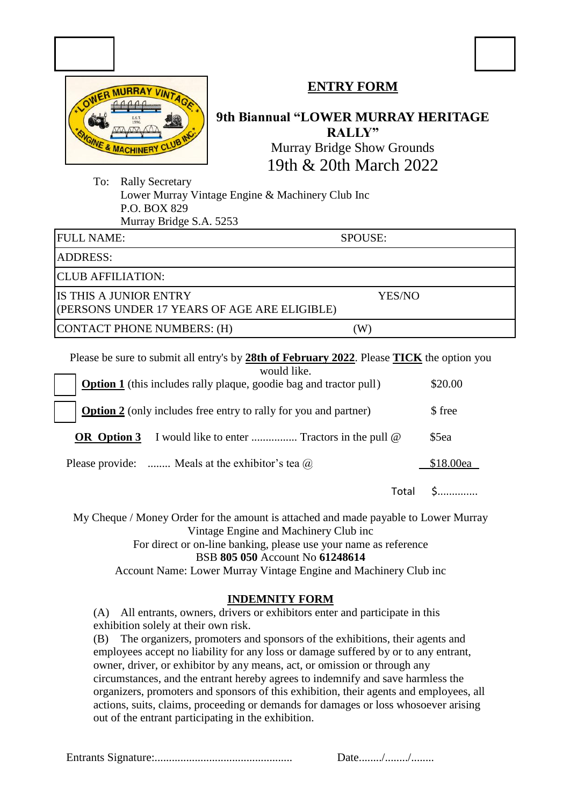|  |                              | <b>RRAY VINTAG</b> |  |
|--|------------------------------|--------------------|--|
|  |                              |                    |  |
|  | <b>EST</b><br>1996           |                    |  |
|  | <b>WGINE &amp; MACHINERY</b> | CLUB               |  |

## **ENTRY FORM**

## **9th Biannual "LOWER MURRAY HERITAGE RALLY"** Murray Bridge Show Grounds

19th & 20th March 2022

To: Rally Secretary Lower Murray Vintage Engine & Machinery Club Inc P.O. BOX 829 Murray Bridge S.A. 5253

FULL NAME: SPOUSE:

ADDRESS:

CLUB AFFILIATION:

IS THIS A JUNIOR ENTRY YES/NO

(PERSONS UNDER 17 YEARS OF AGE ARE ELIGIBLE)

CONTACT PHONE NUMBERS: (H) (W)

Please be sure to submit all entry's by **28th of February 2022**. Please **TICK** the option you

| would like.<br><b>Option 1</b> (this includes rally plaque, goodie bag and tractor pull) |       | \$20.00   |
|------------------------------------------------------------------------------------------|-------|-----------|
| <b>Option 2</b> (only includes free entry to rally for you and partner)                  |       | \$ free   |
| OR Option 3                                                                              |       | \$5ea     |
| Please provide:  Meals at the exhibitor's tea $\omega$                                   |       | \$18.00ea |
|                                                                                          | Total |           |

My Cheque / Money Order for the amount is attached and made payable to Lower Murray Vintage Engine and Machinery Club inc

For direct or on-line banking, please use your name as reference

#### BSB **805 050** Account No **61248614**

Account Name: Lower Murray Vintage Engine and Machinery Club inc

#### **INDEMNITY FORM**

(A) All entrants, owners, drivers or exhibitors enter and participate in this exhibition solely at their own risk.

(B) The organizers, promoters and sponsors of the exhibitions, their agents and employees accept no liability for any loss or damage suffered by or to any entrant, owner, driver, or exhibitor by any means, act, or omission or through any circumstances, and the entrant hereby agrees to indemnify and save harmless the organizers, promoters and sponsors of this exhibition, their agents and employees, all actions, suits, claims, proceeding or demands for damages or loss whosoever arising out of the entrant participating in the exhibition.

Entrants Signature:................................................ Date......../......../........